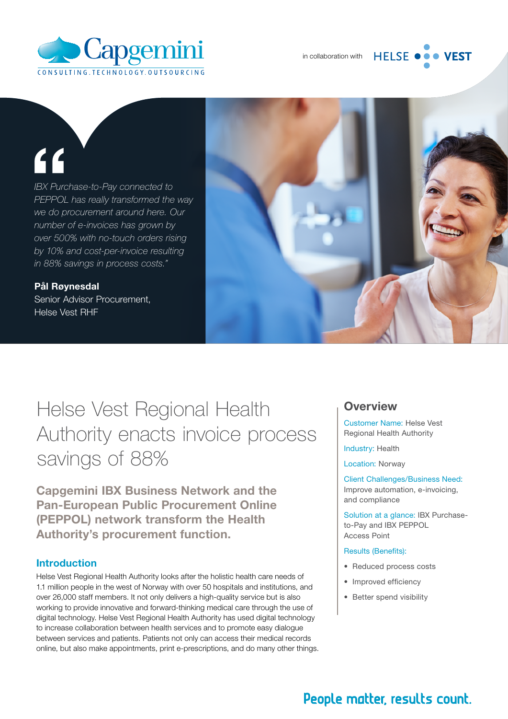

#### **HELSE VEST**

# "

*IBX Purchase-to-Pay connected to PEPPOL has really transformed the way we do procurement around here. Our number of e-invoices has grown by over 500% with no-touch orders rising by 10% and cost-per-invoice resulting in 88% savings in process costs."*

Pål Røynesdal Senior Advisor Procurement, Helse Vest RHF



Helse Vest Regional Health Authority enacts invoice process savings of 88%

Capgemini IBX Business Network and the Pan-European Public Procurement Online (PEPPOL) network transform the Health Authority's procurement function.

#### Introduction

Helse Vest Regional Health Authority looks after the holistic health care needs of 1.1 million people in the west of Norway with over 50 hospitals and institutions, and over 26,000 staff members. It not only delivers a high-quality service but is also working to provide innovative and forward-thinking medical care through the use of digital technology. Helse Vest Regional Health Authority has used digital technology to increase collaboration between health services and to promote easy dialogue between services and patients. Patients not only can access their medical records online, but also make appointments, print e-prescriptions, and do many other things.

#### **Overview**

Customer Name: Helse Vest Regional Health Authority

Industry: Health

Location: Norway

Client Challenges/Business Need: Improve automation, e-invoicing, and compliance

Solution at a glance: IBX Purchaseto-Pay and IBX PEPPOL Access Point

#### Results (Benefits):

- Reduced process costs
- Improved efficiency
- Better spend visibility

# People matter, results count.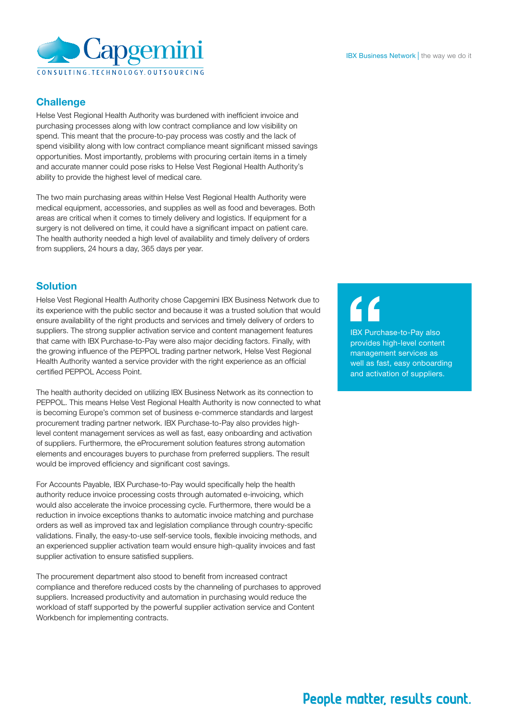

#### **Challenge**

Helse Vest Regional Health Authority was burdened with inefficient invoice and purchasing processes along with low contract compliance and low visibility on spend. This meant that the procure-to-pay process was costly and the lack of spend visibility along with low contract compliance meant significant missed savings opportunities. Most importantly, problems with procuring certain items in a timely and accurate manner could pose risks to Helse Vest Regional Health Authority's ability to provide the highest level of medical care.

The two main purchasing areas within Helse Vest Regional Health Authority were medical equipment, accessories, and supplies as well as food and beverages. Both areas are critical when it comes to timely delivery and logistics. If equipment for a surgery is not delivered on time, it could have a significant impact on patient care. The health authority needed a high level of availability and timely delivery of orders from suppliers, 24 hours a day, 365 days per year.

#### Solution

Helse Vest Regional Health Authority chose Capgemini IBX Business Network due to its experience with the public sector and because it was a trusted solution that would ensure availability of the right products and services and timely delivery of orders to suppliers. The strong supplier activation service and content management features that came with IBX Purchase-to-Pay were also major deciding factors. Finally, with the growing influence of the PEPPOL trading partner network, Helse Vest Regional Health Authority wanted a service provider with the right experience as an official certified PEPPOL Access Point.

The health authority decided on utilizing IBX Business Network as its connection to PEPPOL. This means Helse Vest Regional Health Authority is now connected to what is becoming Europe's common set of business e-commerce standards and largest procurement trading partner network. IBX Purchase-to-Pay also provides highlevel content management services as well as fast, easy onboarding and activation of suppliers. Furthermore, the eProcurement solution features strong automation elements and encourages buyers to purchase from preferred suppliers. The result would be improved efficiency and significant cost savings.

For Accounts Payable, IBX Purchase-to-Pay would specifically help the health authority reduce invoice processing costs through automated e-invoicing, which would also accelerate the invoice processing cycle. Furthermore, there would be a reduction in invoice exceptions thanks to automatic invoice matching and purchase orders as well as improved tax and legislation compliance through country-specific validations. Finally, the easy-to-use self-service tools, flexible invoicing methods, and an experienced supplier activation team would ensure high-quality invoices and fast supplier activation to ensure satisfied suppliers.

The procurement department also stood to benefit from increased contract compliance and therefore reduced costs by the channeling of purchases to approved suppliers. Increased productivity and automation in purchasing would reduce the workload of staff supported by the powerful supplier activation service and Content Workbench for implementing contracts.

IBX Purchase-to-Pay also provides high-level content management services as well as fast, easy onboarding and activation of suppliers.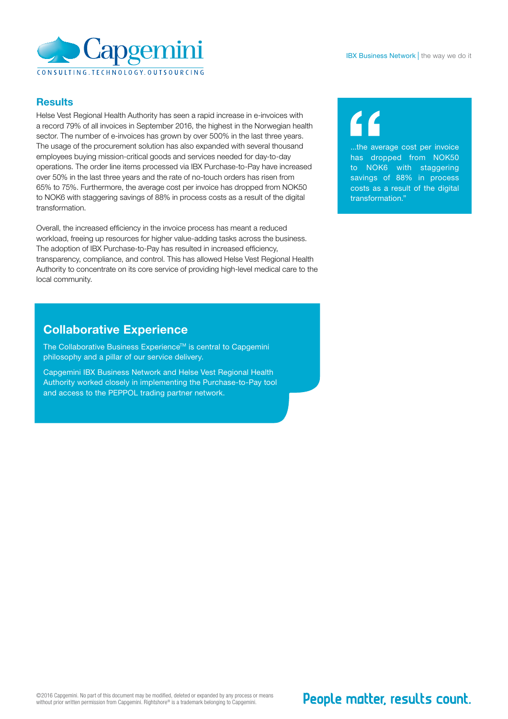

#### **Results**

Helse Vest Regional Health Authority has seen a rapid increase in e-invoices with a record 79% of all invoices in September 2016, the highest in the Norwegian health sector. The number of e-invoices has grown by over 500% in the last three years. The usage of the procurement solution has also expanded with several thousand employees buying mission-critical goods and services needed for day-to-day operations. The order line items processed via IBX Purchase-to-Pay have increased over 50% in the last three years and the rate of no-touch orders has risen from 65% to 75%. Furthermore, the average cost per invoice has dropped from NOK50 to NOK6 with staggering savings of 88% in process costs as a result of the digital transformation.

Overall, the increased efficiency in the invoice process has meant a reduced workload, freeing up resources for higher value-adding tasks across the business. The adoption of IBX Purchase-to-Pay has resulted in increased efficiency, transparency, compliance, and control. This has allowed Helse Vest Regional Health Authority to concentrate on its core service of providing high-level medical care to the local community.

### Collaborative Experience

The Collaborative Business Experience™ is central to Capgemini philosophy and a pillar of our service delivery.

Capgemini IBX Business Network and Helse Vest Regional Health Authority worked closely in implementing the Purchase-to-Pay tool and access to the PEPPOL trading partner network.

...the average cost per invoice has dropped from NOK50 to NOK6 with staggering savings of 88% in process costs as a result of the digital transformation."

# People matter, results count.